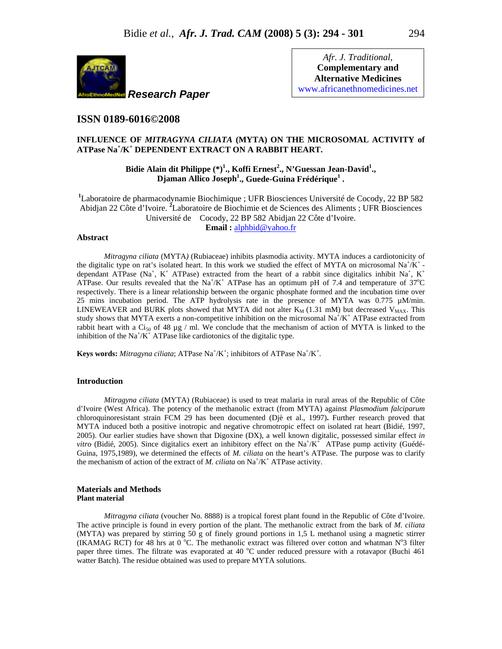

*Afr. J. Traditional*, **Complementary and Alternative Medicines** www.africanethnomedicines.net

# **ISSN 0189-6016©2008**

# **INFLUENCE OF** *MITRAGYNA CILIATA* **(MYTA) ON THE MICROSOMAL ACTIVITY of ATPase Na+ /K<sup>+</sup> DEPENDENT EXTRACT ON A RABBIT HEART.**

Bidie Alain dit Philippe (\*)<sup>1</sup>., Koffi Ernest<sup>2</sup>., N'Guessan Jean-David<sup>1</sup>., **Djaman Allico Joseph1 ., Guede-Guina Frédérique<sup>1</sup> .** 

<sup>1</sup>Laboratoire de pharmacodynamie Biochimique ; UFR Biosciences Université de Cocody, 22 BP 582 Abidjan 22 Côte d'Ivoire. **<sup>2</sup>** Laboratoire de Biochimie et de Sciences des Aliments ; UFR Biosciences Université de Cocody, 22 BP 582 Abidjan 22 Côte d'Ivoire.

**Email :** alphbid@yahoo.fr

### **Abstract**

*Mitragyna ciliata* (MYTA*)* (Rubiaceae) inhibits plasmodia activity. MYTA induces a cardiotonicity of the digitalic type on rat's isolated heart. In this work we studied the effect of MYTA on microsomal Na<sup>+</sup>/K<sup>+</sup> dependant ATPase (Na<sup>+</sup>, K<sup>+</sup> ATPase) extracted from the heart of a rabbit since digitalics inhibit Na<sup>+</sup>, K<sup>+</sup> ATPase. Our results revealed that the Na<sup>+</sup>/K<sup>+</sup> ATPase has an optimum pH of 7.4 and temperature of 37<sup>o</sup>C respectively. There is a linear relationship between the organic phosphate formed and the incubation time over 25 mins incubation period. The ATP hydrolysis rate in the presence of MYTA was 0.775 µM/min. LINEWEAVER and BURK plots showed that MYTA did not alter  $K_M$  (1.31 mM) but decreased  $V_{MAX}$ . This study shows that MYTA exerts a non-competitive inhibition on the microsomal  $Na^+/K^+$  ATPase extracted from rabbit heart with a  $Ci_{50}$  of 48 µg / ml. We conclude that the mechanism of action of MYTA is linked to the inhibition of the  $\text{Na}^+/\text{K}^+$  ATPase like cardiotonics of the digitalic type.

**Keys words:** *Mitragyna ciliata*; ATPase  $\text{Na}^+\text{/K}^+$ ; inhibitors of ATPase  $\text{Na}^+\text{/K}^+$ .

## **Introduction**

*Mitragyna ciliata* (MYTA) (Rubiaceae) is used to treat malaria in rural areas of the Republic of Côte d'Ivoire (West Africa). The potency of the methanolic extract (from MYTA) against *Plasmodium falciparum* chloroquinoresistant strain FCM 29 has been documented (Djè et al., 1997)**.** Further research proved that MYTA induced both a positive inotropic and negative chromotropic effect on isolated rat heart (Bidié, 1997, 2005). Our earlier studies have shown that Digoxine (DX), a well known digitalic, possessed similar effect *in vitro* (Bidié, 2005). Since digitalics exert an inhibitory effect on the Na<sup>+</sup>/K<sup>+</sup> ATPase pump activity (Guédé-Guina, 1975,1989), we determined the effects of *M. ciliata* on the heart's ATPase. The purpose was to clarify the mechanism of action of the extract of  $M$ . *ciliata* on  $Na^+/K^+$  ATPase activity.

### **Materials and Methods Plant material**

*Mitragyna ciliata* (voucher No. 8888) is a tropical forest plant found in the Republic of Côte d'Ivoire. The active principle is found in every portion of the plant. The methanolic extract from the bark of *M. ciliata* (MYTA) was prepared by stirring 50 g of finely ground portions in 1,5 L methanol using a magnetic stirrer (IKAMAG RCT) for 48 hrs at  $0^{\circ}$ C. The methanolic extract was filtered over cotton and whatman N°3 filter paper three times. The filtrate was evaporated at 40 °C under reduced pressure with a rotavapor (Buchi 461 watter Batch). The residue obtained was used to prepare MYTA solutions.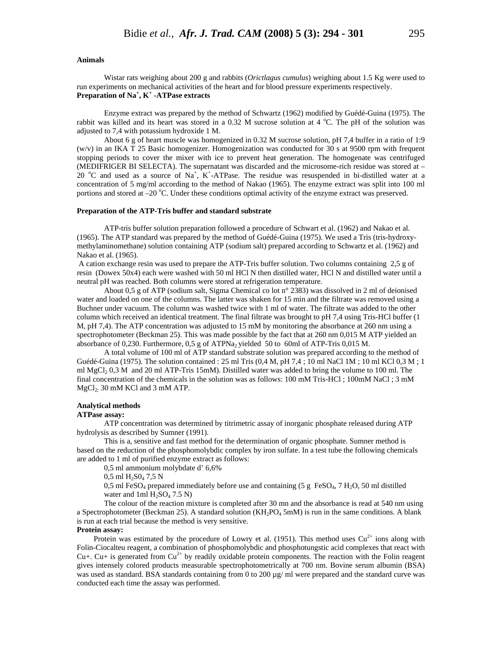Wistar rats weighing about 200 g and rabbits (*Orictlagus cumulus*) weighing about 1.5 Kg were used to run experiments on mechanical activities of the heart and for blood pressure experiments respectively. **Preparation of Na+ , K<sup>+</sup> -ATPase extracts** 

Enzyme extract was prepared by the method of Schwartz (1962) modified by Guédé-Guina (1975). The rabbit was killed and its heart was stored in a 0.32 M sucrose solution at 4 °C. The pH of the solution was adjusted to 7,4 with potassium hydroxide 1 M.

About 6 g of heart muscle was homogenized in 0.32 M sucrose solution, pH 7,4 buffer in a ratio of 1:9 (w/v) in an IKA T 25 Basic homogenizer. Homogenization was conducted for 30 s at 9500 rpm with frequent stopping periods to cover the mixer with ice to prevent heat generation. The homogenate was centrifuged (MEDIFRIGER BI SELECTA). The supernatant was discarded and the microsome-rich residue was stored at – 20 °C and used as a source of Na<sup>+</sup>, K<sup>+</sup>-ATPase. The residue was resuspended in bi-distilled water at a concentration of 5 mg/ml according to the method of Nakao (1965). The enzyme extract was split into 100 ml portions and stored at -20 °C. Under these conditions optimal activity of the enzyme extract was preserved.

### **Preparation of the ATP-Tris buffer and standard substrate**

ATP-tris buffer solution preparation followed a procedure of Schwart et al. (1962) and Nakao et al. (1965). The ATP standard was prepared by the method of Guédé-Guina (1975). We used a Tris (tris-hydroxymethylaminomethane) solution containing ATP (sodium salt) prepared according to Schwartz et al. (1962) and Nakao et al. (1965).

 A cation exchange resin was used to prepare the ATP-Tris buffer solution. Two columns containing 2,5 g of resin (Dowex 50x4) each were washed with 50 ml HCl N then distilled water, HCl N and distilled water until a neutral pH was reached. Both columns were stored at refrigeration temperature.

About 0,5 g of ATP (sodium salt, Sigma Chemical co lot n° 2383) was dissolved in 2 ml of deionised water and loaded on one of the columns. The latter was shaken for 15 min and the filtrate was removed using a Buchner under vacuum. The column was washed twice with 1 ml of water. The filtrate was added to the other column which received an identical treatment. The final filtrate was brought to pH 7,4 using Tris-HCl buffer (1 M, pH 7,4). The ATP concentration was adjusted to 15 mM by monitoring the absorbance at 260 nm using a spectrophotometer (Beckman 25). This was made possible by the fact that at 260 nm 0,015 M ATP yielded an absorbance of 0,230. Furthermore,  $0.5$  g of ATPNa<sub>2</sub> yielded 50 to 60ml of ATP-Tris 0,015 M.

A total volume of 100 ml of ATP standard substrate solution was prepared according to the method of Guédé-Guina (1975). The solution contained : 25 ml Tris (0,4 M, pH 7,4 ; 10 ml NaCl 1M ; 10 ml KCl 0,3 M ; 1 ml MgCl<sub>2</sub> 0,3 M and 20 ml ATP-Tris 15mM). Distilled water was added to bring the volume to 100 ml. The final concentration of the chemicals in the solution was as follows: 100 mM Tris-HCl ; 100mM NaCl ; 3 mM MgCl<sub>2;</sub> 30 mM KCl and 3 mM ATP.

#### **Analytical methods**

#### **ATPase assay:**

ATP concentration was determined by titrimetric assay of inorganic phosphate released during ATP hydrolysis as described by Sumner (1991).

This is a, sensitive and fast method for the determination of organic phosphate. Sumner method is based on the reduction of the phosphomolybdic complex by iron sulfate. In a test tube the following chemicals are added to 1 ml of purified enzyme extract as follows:

0,5 ml ammonium molybdate d' 6,6%

 $0.5$  ml  $H_2SO_4$  7,5 N

0,5 ml FeSO<sub>4</sub> prepared immediately before use and containing  $(5 g FeSO<sub>4</sub>, 7 H<sub>2</sub>O, 50 ml distinct$ water and 1ml  $H_2SO_4$  7.5 N)

The colour of the reaction mixture is completed after 30 mn and the absorbance is read at 540 nm using a Spectrophotometer (Beckman 25). A standard solution  $(KH_2PO_4 5mM)$  is run in the same conditions. A blank is run at each trial because the method is very sensitive.

# **Protein assay:**

Protein was estimated by the procedure of Lowry et al. (1951). This method uses  $Cu^{2+}$  ions along with Folin-Ciocalteu reagent, a combination of phosphomolybdic and phosphotungstic acid complexes that react with Cu+. Cu+ is generated from  $Cu^{2+}$  by readily oxidable protein components. The reaction with the Folin reagent gives intensely colored products measurable spectrophotometrically at 700 nm. Bovine serum albumin (BSA) was used as standard. BSA standards containing from 0 to 200  $\mu$ g/ ml were prepared and the standard curve was conducted each time the assay was performed.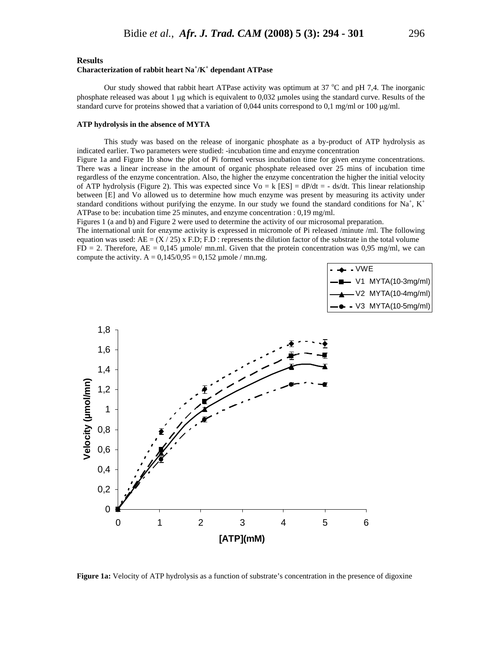## **Results**

# **Characterization of rabbit heart Na<sup>+</sup> /K+ dependant ATPase**

Our study showed that rabbit heart ATPase activity was optimum at 37  $^{\circ}$ C and pH 7,4. The inorganic phosphate released was about  $1 \mu$ g which is equivalent to 0,032  $\mu$ moles using the standard curve. Results of the standard curve for proteins showed that a variation of 0.044 units correspond to 0.1 mg/ml or 100  $\mu$ g/ml.

## **ATP hydrolysis in the absence of MYTA**

This study was based on the release of inorganic phosphate as a by-product of ATP hydrolysis as indicated earlier. Two parameters were studied: -incubation time and enzyme concentration

Figure 1a and Figure 1b show the plot of Pi formed versus incubation time for given enzyme concentrations. There was a linear increase in the amount of organic phosphate released over 25 mins of incubation time regardless of the enzyme concentration. Also, the higher the enzyme concentration the higher the initial velocity of ATP hydrolysis (Figure 2). This was expected since  $Vo = k$  [ES] = dP/dt = - ds/dt. This linear relationship between [E] and Vo allowed us to determine how much enzyme was present by measuring its activity under standard conditions without purifying the enzyme. In our study we found the standard conditions for Na<sup>+</sup>, K<sup>+</sup> ATPase to be: incubation time 25 minutes, and enzyme concentration : 0,19 mg/ml.

Figures 1 (a and b) and Figure 2 were used to determine the activity of our microsomal preparation. The international unit for enzyme activity is expressed in micromole of Pi released /minute /ml. The following equation was used:  $AE = (X / 25) \times F.D$ ; F.D : represents the dilution factor of the substrate in the total volume  $FD = 2$ . Therefore,  $AE = 0.145$  µmole/ mn.ml. Given that the protein concentration was 0.95 mg/ml, we can compute the activity.  $A = 0,145/0,95 = 0,152 \text{ \mu}$  mole / mn.mg.





**Figure 1a:** Velocity of ATP hydrolysis as a function of substrate's concentration in the presence of digoxine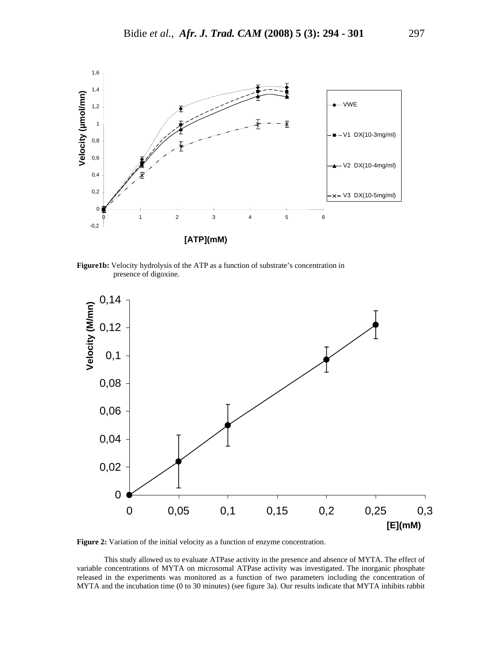

**Figure1b:** Velocity hydrolysis of the ATP as a function of substrate's concentration in presence of digoxine.



**Figure 2:** Variation of the initial velocity as a function of enzyme concentration.

This study allowed us to evaluate ATPase activity in the presence and absence of MYTA. The effect of variable concentrations of MYTA on microsomal ATPase activity was investigated. The inorganic phosphate released in the experiments was monitored as a function of two parameters including the concentration of MYTA and the incubation time (0 to 30 minutes) (see figure 3a). Our results indicate that MYTA inhibits rabbit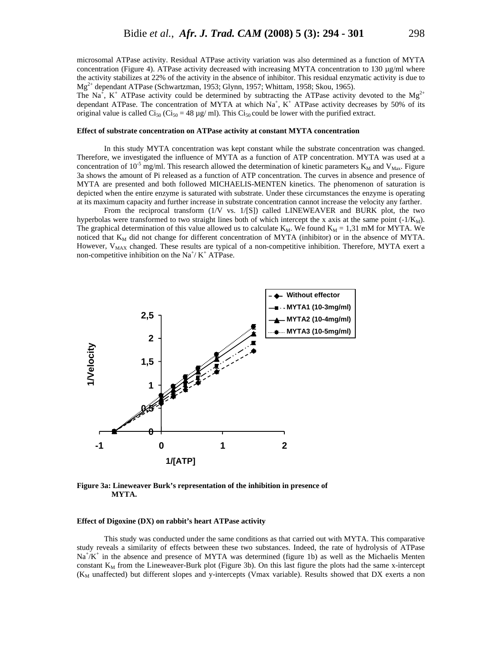microsomal ATPase activity. Residual ATPase activity variation was also determined as a function of MYTA concentration (Figure 4). ATPase activity decreased with increasing MYTA concentration to 130  $\mu$ g/ml where the activity stabilizes at 22% of the activity in the absence of inhibitor. This residual enzymatic activity is due to Mg2+ dependant ATPase (Schwartzman, 1953; Glynn, 1957; Whittam, 1958; Skou, 1965).

The Na<sup>+</sup>, K<sup>+</sup> ATPase activity could be determined by subtracting the ATPase activity devoted to the Mg<sup>2+</sup> dependant ATPase. The concentration of MYTA at which  $Na^+$ ,  $K^+$  ATPase activity decreases by 50% of its original value is called  $\text{Ci}_{50}$  (Ci<sub>50</sub> = 48 µg/ ml). This Ci<sub>50</sub> could be lower with the purified extract.

## **Effect of substrate concentration on ATPase activity at constant MYTA concentration**

In this study MYTA concentration was kept constant while the substrate concentration was changed. Therefore, we investigated the influence of MYTA as a function of ATP concentration. MYTA was used at a concentration of 10<sup>-5</sup> mg/ml. This research allowed the determination of kinetic parameters  $K_M$  and  $V_{\text{Max}}$ . Figure 3a shows the amount of Pi released as a function of ATP concentration. The curves in absence and presence of MYTA are presented and both followed MICHAELIS-MENTEN kinetics. The phenomenon of saturation is depicted when the entire enzyme is saturated with substrate. Under these circumstances the enzyme is operating at its maximum capacity and further increase in substrate concentration cannot increase the velocity any farther.

 From the reciprocal transform (1/V vs. 1/[S]) called LINEWEAVER and BURK plot, the two hyperbolas were transformed to two straight lines both of which intercept the x axis at the same point  $(-1/K_M)$ . The graphical determination of this value allowed us to calculate  $K_M$ . We found  $K_M = 1,31$  mM for MYTA. We noticed that  $K_M$  did not change for different concentration of MYTA (inhibitor) or in the absence of MYTA. However,  $V_{MAX}$  changed. These results are typical of a non-competitive inhibition. Therefore, MYTA exert a non-competitive inhibition on the Na<sup>+</sup>/K<sup>+</sup> ATPase.



**Figure 3a: Lineweaver Burk's representation of the inhibition in presence of MYTA.** 

#### **Effect of Digoxine (DX) on rabbit's heart ATPase activity**

This study was conducted under the same conditions as that carried out with MYTA. This comparative study reveals a similarity of effects between these two substances. Indeed, the rate of hydrolysis of ATPase Na<sup>+</sup>/K<sup>+</sup> in the absence and presence of MYTA was determined (figure 1b) as well as the Michaelis Menten constant  $K<sub>M</sub>$  from the Lineweaver-Burk plot (Figure 3b). On this last figure the plots had the same x-intercept (K<sub>M</sub> unaffected) but different slopes and y-intercepts (Vmax variable). Results showed that DX exerts a non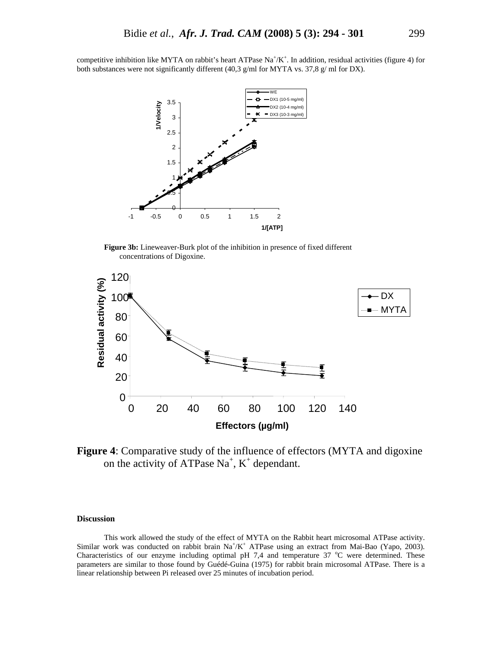competitive inhibition like MYTA on rabbit's heart ATPase  $Na^{\dagger}/K^{\dagger}$ . In addition, residual activities (figure 4) for both substances were not significantly different (40,3 g/ml for MYTA vs. 37,8 g/ml for DX).



**Figure 3b:** Lineweaver-Burk plot of the inhibition in presence of fixed different concentrations of Digoxine.



**Figure 4**: Comparative study of the influence of effectors (MYTA and digoxine on the activity of ATPase  $Na^+$ ,  $K^+$  dependant.

# **Discussion**

This work allowed the study of the effect of MYTA on the Rabbit heart microsomal ATPase activity. Similar work was conducted on rabbit brain  $Na^{+}/K^{+}$  ATPase using an extract from Mai-Bao (Yapo, 2003). Characteristics of our enzyme including optimal pH 7,4 and temperature  $37 °C$  were determined. These parameters are similar to those found by Guédé-Guina (1975) for rabbit brain microsomal ATPase. There is a linear relationship between Pi released over 25 minutes of incubation period.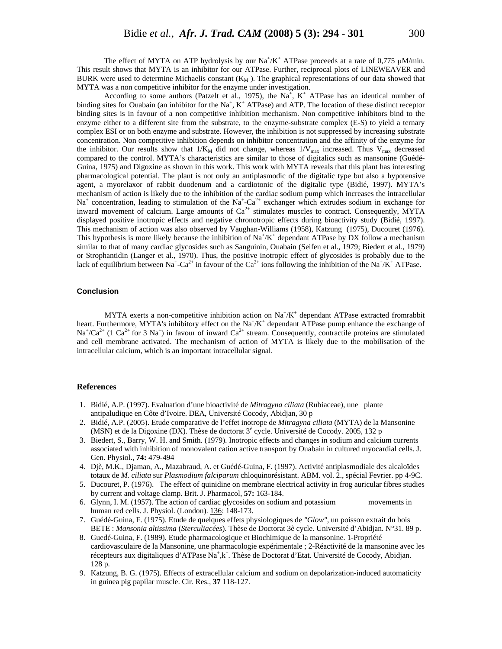The effect of MYTA on ATP hydrolysis by our Na<sup>+</sup>/K<sup>+</sup> ATPase proceeds at a rate of 0,775  $\mu$ M/min. This result shows that MYTA is an inhibitor for our ATPase. Further, reciprocal plots of LINEWEAVER and BURK were used to determine Michaelis constant  $(K_M)$ . The graphical representations of our data showed that MYTA was a non competitive inhibitor for the enzyme under investigation.

According to some authors (Patzelt et al., 1975), the Na<sup>+</sup>, K<sup>+</sup> ATPase has an identical number of binding sites for Ouabain (an inhibitor for the Na<sup>+</sup>, K<sup>+</sup> ATPase) and ATP. The location of these distinct receptor binding sites is in favour of a non competitive inhibition mechanism. Non competitive inhibitors bind to the enzyme either to a different site from the substrate, to the enzyme-substrate complex (E-S) to yield a ternary complex ESI or on both enzyme and substrate. However, the inhibition is not suppressed by increasing substrate concentration. Non competitive inhibition depends on inhibitor concentration and the affinity of the enzyme for the inhibitor. Our results show that  $1/K_M$  did not change, whereas  $1/V_{\text{max}}$  increased. Thus V<sub>max</sub> decreased compared to the control. MYTA's characteristics are similar to those of digitalics such as mansonine (Guédé-Guina, 1975) and Digoxine as shown in this work. This work with MYTA reveals that this plant has interesting pharmacological potential. The plant is not only an antiplasmodic of the digitalic type but also a hypotensive agent, a myorelaxor of rabbit duodenum and a cardiotonic of the digitalic type (Bidié, 1997). MYTA's mechanism of action is likely due to the inhibition of the cardiac sodium pump which increases the intracellular Na<sup>+</sup> concentration, leading to stimulation of the Na<sup>+</sup>-Ca<sup>2+</sup> exchanger which extrudes sodium in exchange for inward movement of calcium. Large amounts of  $Ca<sup>2+</sup>$  stimulates muscles to contract. Consequently, MYTA displayed positive inotropic effects and negative chronotropic effects during bioactivity study (Bidié, 1997). This mechanism of action was also observed by Vaughan-Williams (1958), Katzung (1975), Ducouret (1976). This hypothesis is more likely because the inhibition of  $Na^{\dagger}/K^{\dagger}$  dependant ATPase by DX follow a mechanism similar to that of many cardiac glycosides such as Sanguinin, Ouabain (Seifen et al., 1979; Biedert et al., 1979) or Strophantidin (Langer et al., 1970). Thus, the positive inotropic effect of glycosides is probably due to the lack of equilibrium between Na<sup>+</sup>-Ca<sup>2+</sup> in favour of the Ca<sup>2+</sup> ions following the inhibition of the Na<sup>+</sup>/K<sup>+</sup> ATPase.

## **Conclusion**

MYTA exerts a non-competitive inhibition action on  $Na^+/K^+$  dependant ATPase extracted from rabbit heart. Furthermore, MYTA's inhibitory effect on the  $Na^+/K^+$  dependant ATPase pump enhance the exchange of  $Na<sup>+</sup>/Ca<sup>2+</sup>$  (1 Ca<sup>2+</sup> for 3 Na<sup>+</sup>) in favour of inward Ca<sup>2+</sup> stream. Consequently, contractile proteins are stimulated and cell membrane activated. The mechanism of action of MYTA is likely due to the mobilisation of the intracellular calcium, which is an important intracellular signal.

### **References**

- 1. Bidié, A.P. (1997). Evaluation d'une bioactivité de *Mitragyna ciliata* (Rubiaceae), une plante antipaludique en Côte d'Ivoire. DEA, Université Cocody, Abidjan, 30 p
- 2. Bidié, A.P. (2005). Etude comparative de l'effet inotrope de *Mitragyna ciliata* (MYTA) de la Mansonine (MSN) et de la Digoxine (DX). Thèse de doctorat  $3^{\circ}$  cycle. Université de Cocody. 2005, 132 p
- 3. Biedert, S., Barry, W. H. and Smith. (1979). Inotropic effects and changes in sodium and calcium currents associated with inhibition of monovalent cation active transport by Ouabain in cultured myocardial cells. J. Gen. Physiol., **74:** 479-494
- 4. Djè, M.K., Djaman, A., Mazabraud, A. et Guédé-Guina, F. (1997). Activité antiplasmodiale des alcaloïdes totaux de *M. ciliata* sur *Plasmodium falciparum* chloquinorésistant. ABM. vol. 2., spécial Fevrier. pp 4-9C.
- 5. Ducouret, P. (1976). The effect of quinidine on membrane electrical activity in frog auricular fibres studies by current and voltage clamp. Brit. J. Pharmacol, **57:** 163-184.
- 6. Glynn, I. M. (1957). The action of cardiac glycosides on sodium and potassium movements in human red cells. J. Physiol. (London). 136: 148-173.
- 7. Guédé-Guina, F. (1975). Etude de quelques effets physiologiques de *"Glow",* un poisson extrait du bois BETE : *Mansonia altissima* (*Sterculiacées*). Thèse de Doctorat 3è cycle. Université d'Abidjan. N°31. 89 p.
- 8. Guedé-Guina, F. (1989). Etude pharmacologique et Biochimique de la mansonine. 1-Propriété cardiovasculaire de la Mansonine, une pharmacologie expérimentale ; 2-Réactivité de la mansonine avec les récepteurs aux digitaliques d'ATPase Na<sup>+</sup>,k<sup>+</sup>. Thèse de Doctorat d'Etat. Université de Cocody, Abidjan. 128 p.
- 9. Katzung, B. G. (1975). Effects of extracellular calcium and sodium on depolarization-induced automaticity in guinea pig papilar muscle. Cir. Res., **37** 118-127.